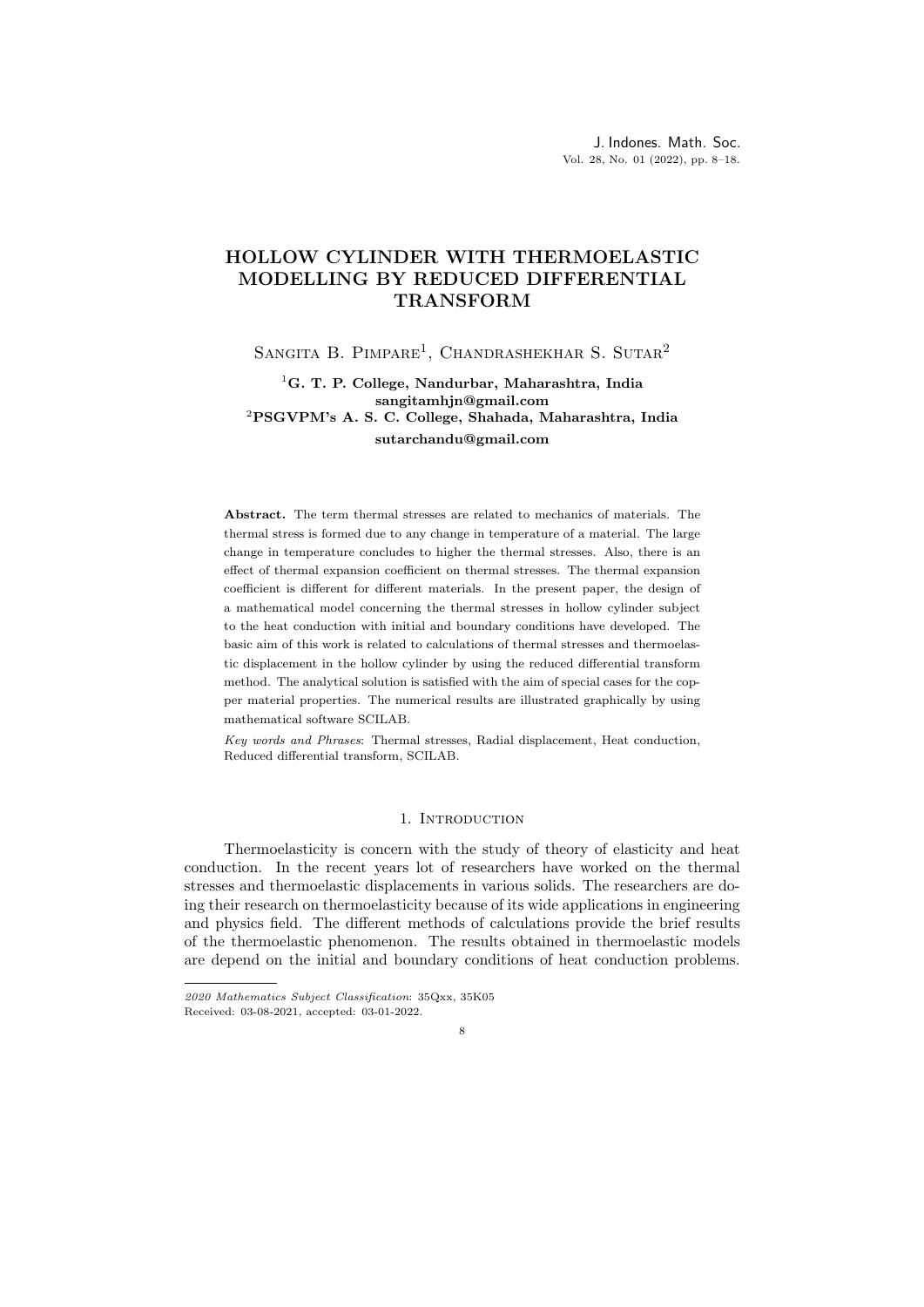# HOLLOW CYLINDER WITH THERMOELASTIC MODELLING BY REDUCED DIFFERENTIAL TRANSFORM

SANGITA B. PIMPARE<sup>1</sup>, CHANDRASHEKHAR S. SUTAR<sup>2</sup>

## <sup>1</sup>G. T. P. College, Nandurbar, Maharashtra, India sangitamhjn@gmail.com <sup>2</sup>PSGVPM's A. S. C. College, Shahada, Maharashtra, India sutarchandu@gmail.com

Abstract. The term thermal stresses are related to mechanics of materials. The thermal stress is formed due to any change in temperature of a material. The large change in temperature concludes to higher the thermal stresses. Also, there is an effect of thermal expansion coefficient on thermal stresses. The thermal expansion coefficient is different for different materials. In the present paper, the design of a mathematical model concerning the thermal stresses in hollow cylinder subject to the heat conduction with initial and boundary conditions have developed. The basic aim of this work is related to calculations of thermal stresses and thermoelastic displacement in the hollow cylinder by using the reduced differential transform method. The analytical solution is satisfied with the aim of special cases for the copper material properties. The numerical results are illustrated graphically by using mathematical software SCILAB.

Key words and Phrases: Thermal stresses, Radial displacement, Heat conduction, Reduced differential transform, SCILAB.

#### 1. INTRODUCTION

Thermoelasticity is concern with the study of theory of elasticity and heat conduction. In the recent years lot of researchers have worked on the thermal stresses and thermoelastic displacements in various solids. The researchers are doing their research on thermoelasticity because of its wide applications in engineering and physics field. The different methods of calculations provide the brief results of the thermoelastic phenomenon. The results obtained in thermoelastic models are depend on the initial and boundary conditions of heat conduction problems.

<sup>2020</sup> Mathematics Subject Classification: 35Qxx, 35K05 Received: 03-08-2021, accepted: 03-01-2022.

<sup>8</sup>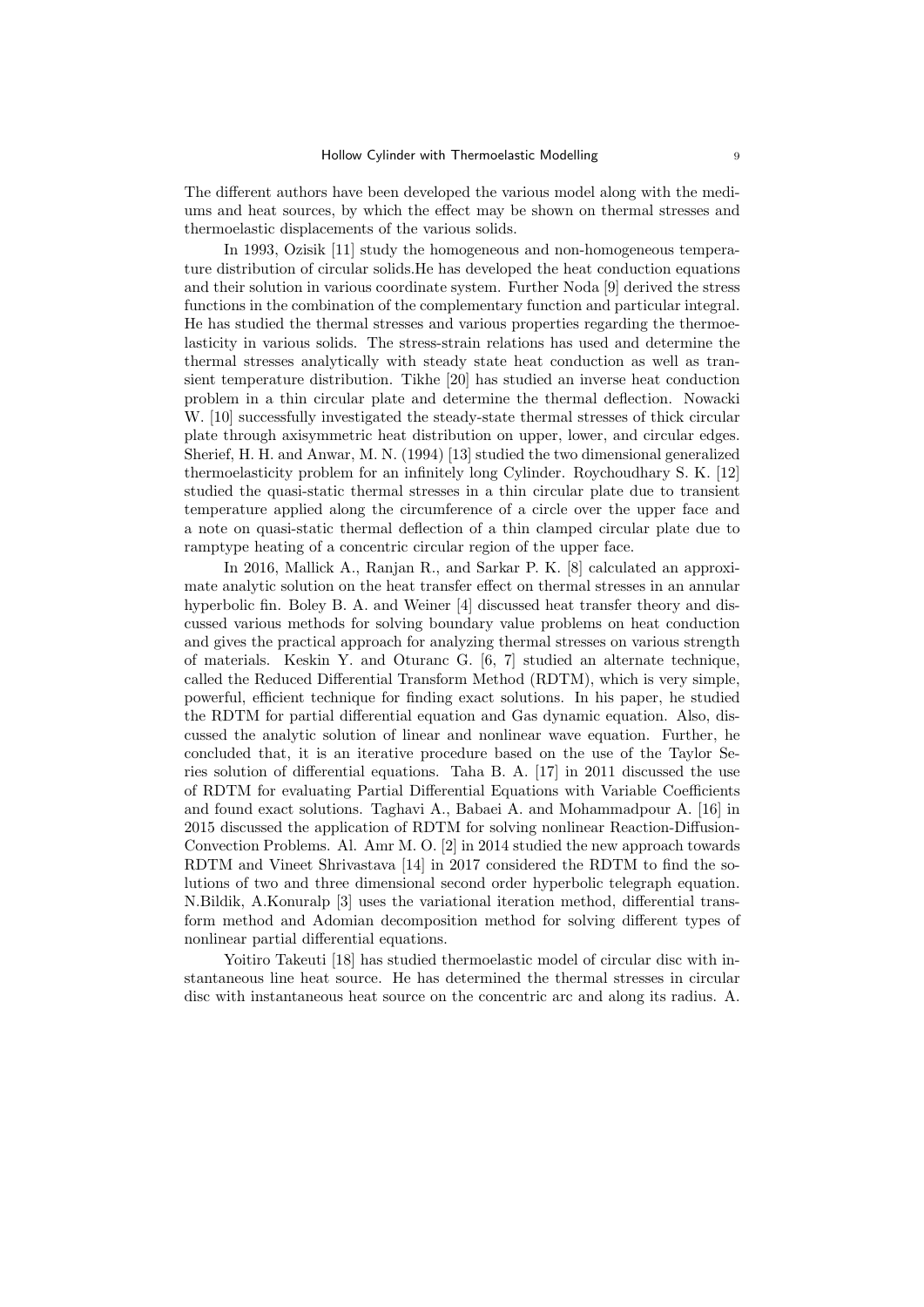The different authors have been developed the various model along with the mediums and heat sources, by which the effect may be shown on thermal stresses and thermoelastic displacements of the various solids.

In 1993, Ozisik [11] study the homogeneous and non-homogeneous temperature distribution of circular solids.He has developed the heat conduction equations and their solution in various coordinate system. Further Noda [9] derived the stress functions in the combination of the complementary function and particular integral. He has studied the thermal stresses and various properties regarding the thermoelasticity in various solids. The stress-strain relations has used and determine the thermal stresses analytically with steady state heat conduction as well as transient temperature distribution. Tikhe [20] has studied an inverse heat conduction problem in a thin circular plate and determine the thermal deflection. Nowacki W. [10] successfully investigated the steady-state thermal stresses of thick circular plate through axisymmetric heat distribution on upper, lower, and circular edges. Sherief, H. H. and Anwar, M. N. (1994) [13] studied the two dimensional generalized thermoelasticity problem for an infinitely long Cylinder. Roychoudhary S. K. [12] studied the quasi-static thermal stresses in a thin circular plate due to transient temperature applied along the circumference of a circle over the upper face and a note on quasi-static thermal deflection of a thin clamped circular plate due to ramptype heating of a concentric circular region of the upper face.

In 2016, Mallick A., Ranjan R., and Sarkar P. K. [8] calculated an approximate analytic solution on the heat transfer effect on thermal stresses in an annular hyperbolic fin. Boley B. A. and Weiner [4] discussed heat transfer theory and discussed various methods for solving boundary value problems on heat conduction and gives the practical approach for analyzing thermal stresses on various strength of materials. Keskin Y. and Oturanc G. [6, 7] studied an alternate technique, called the Reduced Differential Transform Method (RDTM), which is very simple, powerful, efficient technique for finding exact solutions. In his paper, he studied the RDTM for partial differential equation and Gas dynamic equation. Also, discussed the analytic solution of linear and nonlinear wave equation. Further, he concluded that, it is an iterative procedure based on the use of the Taylor Series solution of differential equations. Taha B. A. [17] in 2011 discussed the use of RDTM for evaluating Partial Differential Equations with Variable Coefficients and found exact solutions. Taghavi A., Babaei A. and Mohammadpour A. [16] in 2015 discussed the application of RDTM for solving nonlinear Reaction-Diffusion-Convection Problems. Al. Amr M. O. [2] in 2014 studied the new approach towards RDTM and Vineet Shrivastava [14] in 2017 considered the RDTM to find the solutions of two and three dimensional second order hyperbolic telegraph equation. N.Bildik, A.Konuralp [3] uses the variational iteration method, differential transform method and Adomian decomposition method for solving different types of nonlinear partial differential equations.

Yoitiro Takeuti [18] has studied thermoelastic model of circular disc with instantaneous line heat source. He has determined the thermal stresses in circular disc with instantaneous heat source on the concentric arc and along its radius. A.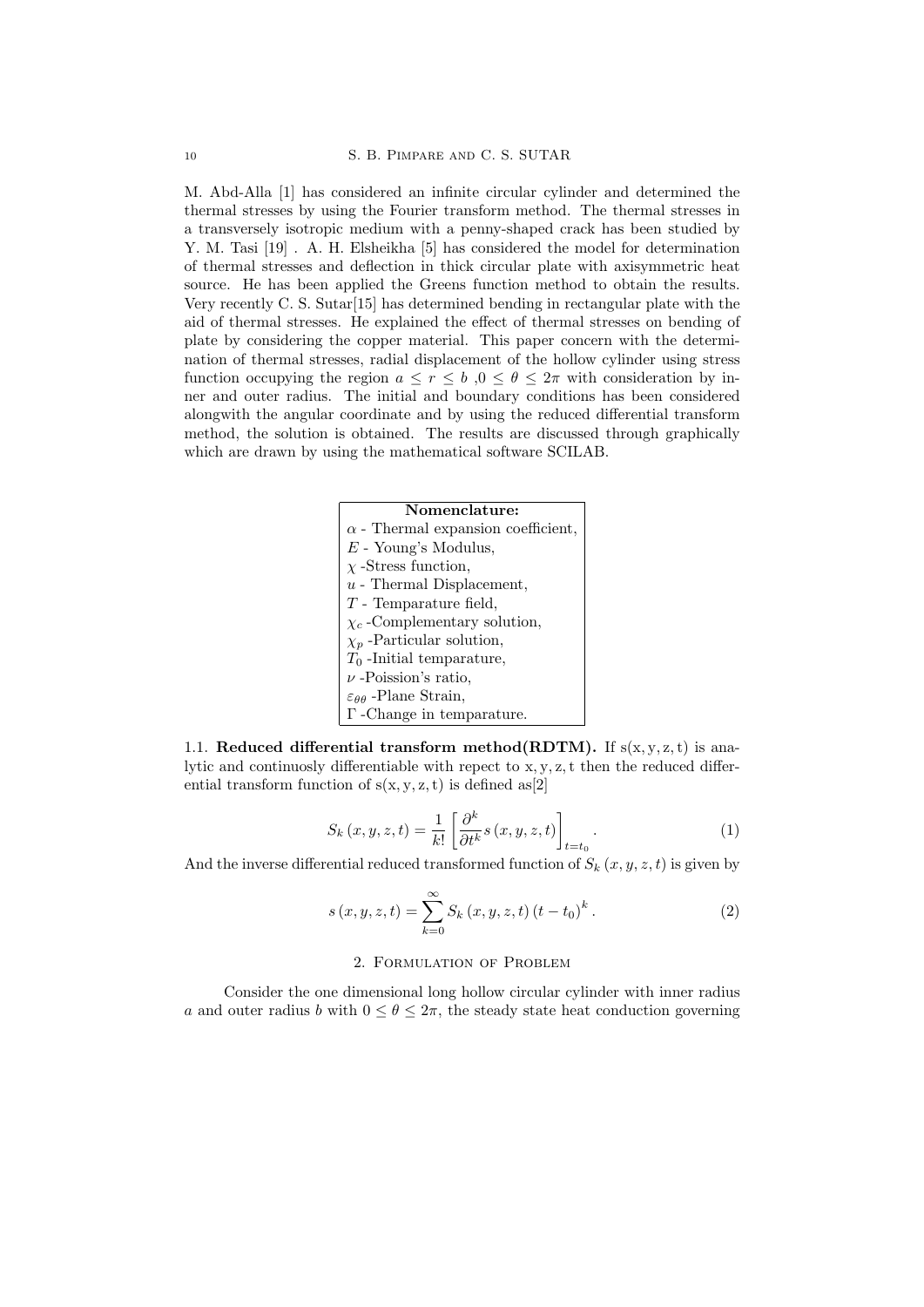M. Abd-Alla [1] has considered an infinite circular cylinder and determined the thermal stresses by using the Fourier transform method. The thermal stresses in a transversely isotropic medium with a penny-shaped crack has been studied by Y. M. Tasi [19] . A. H. Elsheikha [5] has considered the model for determination of thermal stresses and deflection in thick circular plate with axisymmetric heat source. He has been applied the Greens function method to obtain the results. Very recently C. S. Sutar[15] has determined bending in rectangular plate with the aid of thermal stresses. He explained the effect of thermal stresses on bending of plate by considering the copper material. This paper concern with the determination of thermal stresses, radial displacement of the hollow cylinder using stress function occupying the region  $a \leq r \leq b$ ,  $0 \leq \theta \leq 2\pi$  with consideration by inner and outer radius. The initial and boundary conditions has been considered alongwith the angular coordinate and by using the reduced differential transform method, the solution is obtained. The results are discussed through graphically which are drawn by using the mathematical software SCILAB.

| Nomenclature:                               |
|---------------------------------------------|
| $\alpha$ - Thermal expansion coefficient,   |
| $E$ - Young's Modulus,                      |
| $\chi$ -Stress function,                    |
| $u$ - Thermal Displacement,                 |
| $T$ - Temparature field,                    |
| $\chi_c$ -Complementary solution,           |
| $\chi_p$ -Particular solution,              |
| $T_0$ -Initial temparature,                 |
| $\nu$ -Poission's ratio,                    |
| $\varepsilon_{\theta\theta}$ -Plane Strain, |
| $\Gamma$ -Change in temparature.            |

1.1. Reduced differential transform method(RDTM). If  $s(x, y, z, t)$  is analytic and continuosly differentiable with repect to  $x, y, z$ , t then the reduced differential transform function of  $s(x, y, z, t)$  is defined as[2]

$$
S_k(x, y, z, t) = \frac{1}{k!} \left[ \frac{\partial^k}{\partial t^k} s(x, y, z, t) \right]_{t=t_0}.
$$
 (1)

And the inverse differential reduced transformed function of  $S_k(x, y, z, t)$  is given by

$$
s(x, y, z, t) = \sum_{k=0}^{\infty} S_k(x, y, z, t) (t - t_0)^k.
$$
 (2)

## 2. Formulation of Problem

Consider the one dimensional long hollow circular cylinder with inner radius a and outer radius b with  $0 \le \theta \le 2\pi$ , the steady state heat conduction governing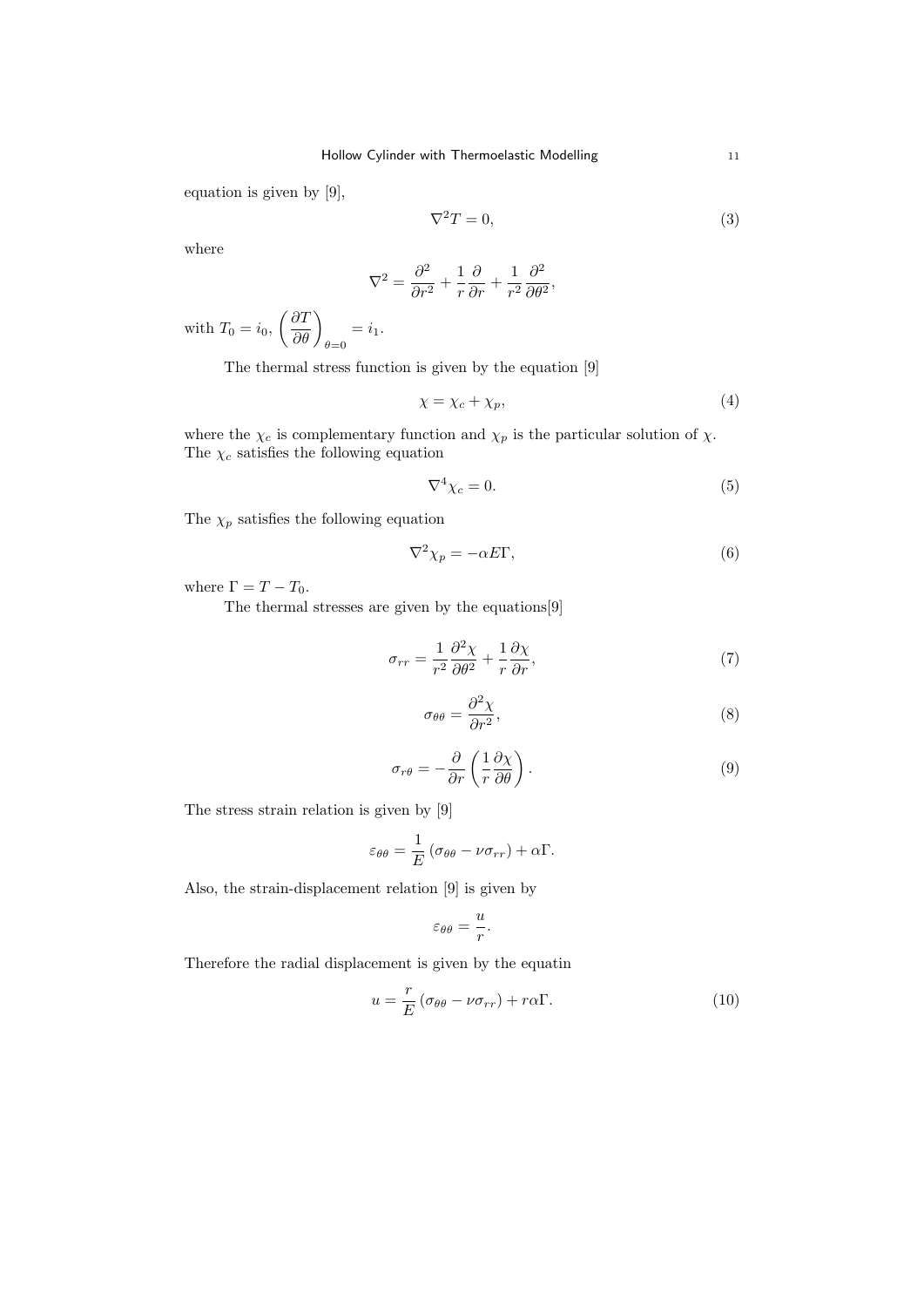equation is given by [9],

$$
\nabla^2 T = 0,\t\t(3)
$$

where

$$
\nabla^2 = \frac{\partial^2}{\partial r^2} + \frac{1}{r} \frac{\partial}{\partial r} + \frac{1}{r^2} \frac{\partial^2}{\partial \theta^2},
$$

with  $T_0 = i_0$ ,  $\left(\frac{\partial T}{\partial \theta}\right)_{\theta=0}$  $=i_1.$ 

The thermal stress function is given by the equation [9]

$$
\chi = \chi_c + \chi_p,\tag{4}
$$

where the  $\chi_c$  is complementary function and  $\chi_p$  is the particular solution of  $\chi$ . The  $\chi_c$  satisfies the following equation

$$
\nabla^4 \chi_c = 0. \tag{5}
$$

The  $\chi_p$  satisfies the following equation

$$
\nabla^2 \chi_p = -\alpha E \Gamma,\tag{6}
$$

where  $\Gamma = T - T_0$ .

The thermal stresses are given by the equations[9]

$$
\sigma_{rr} = \frac{1}{r^2} \frac{\partial^2 \chi}{\partial \theta^2} + \frac{1}{r} \frac{\partial \chi}{\partial r},\tag{7}
$$

$$
\sigma_{\theta\theta} = \frac{\partial^2 \chi}{\partial r^2},\tag{8}
$$

$$
\sigma_{r\theta} = -\frac{\partial}{\partial r} \left( \frac{1}{r} \frac{\partial \chi}{\partial \theta} \right). \tag{9}
$$

The stress strain relation is given by [9]

$$
\varepsilon_{\theta\theta} = \frac{1}{E} \left( \sigma_{\theta\theta} - \nu \sigma_{rr} \right) + \alpha \Gamma.
$$

Also, the strain-displacement relation [9] is given by

$$
\varepsilon_{\theta\theta}=\frac{u}{r}.
$$

Therefore the radial displacement is given by the equatin

$$
u = \frac{r}{E} \left( \sigma_{\theta\theta} - \nu \sigma_{rr} \right) + r\alpha \Gamma. \tag{10}
$$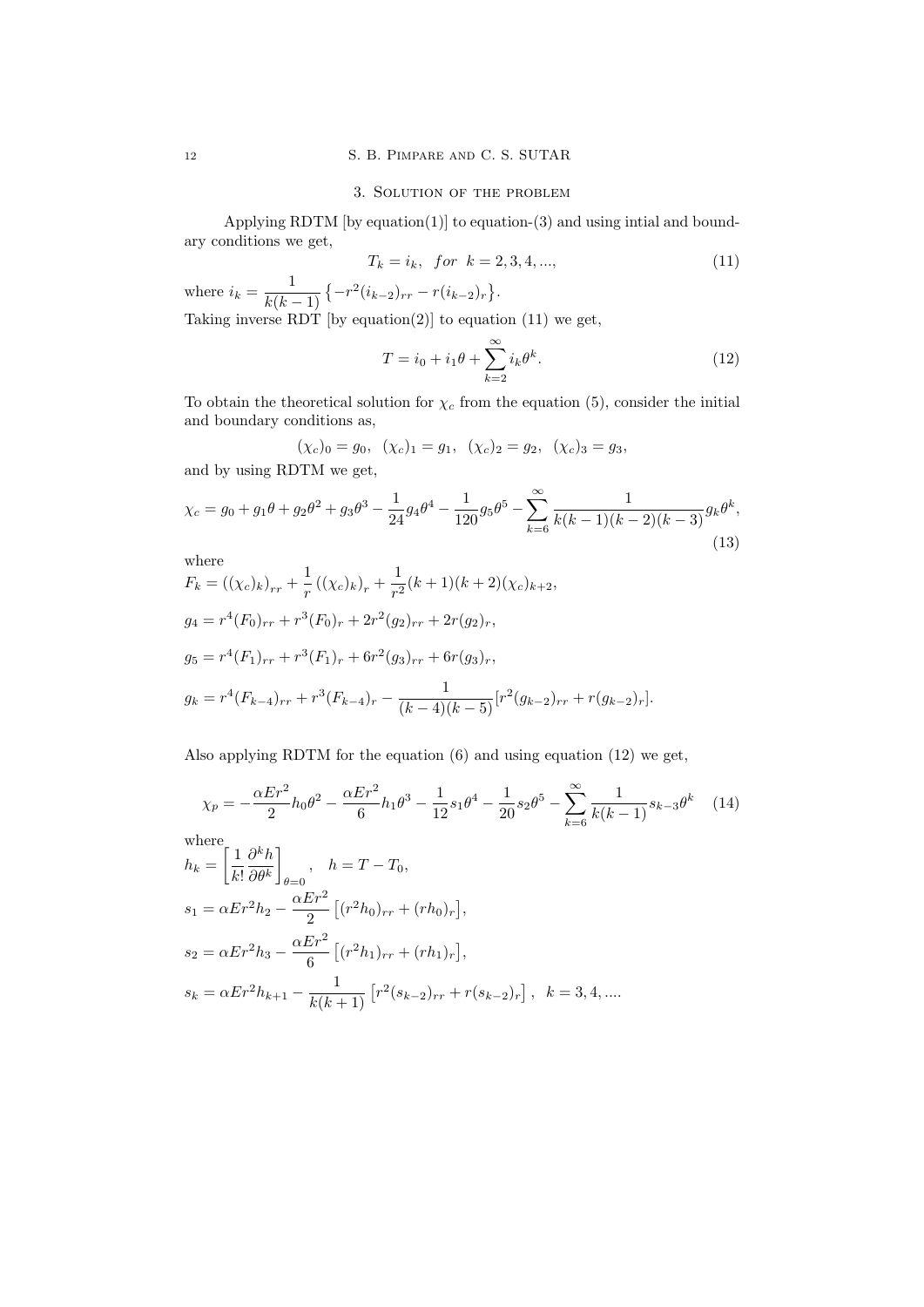## <sup>12</sup> S. B. Pimpare and C. S. SUTAR

## 3. Solution of the problem

Applying RDTM  $[$ by equation $(1)$  $]$  to equation- $(3)$  and using intial and boundary conditions we get,

$$
T_k = i_k, \text{ for } k = 2, 3, 4, ..., \tag{11}
$$

where  $i_k = \frac{1}{k(k)}$  $\frac{1}{k(k-1)}\left\{-r^2(i_{k-2})_{rr}-r(i_{k-2})_r\right\}.$ 

Taking inverse RDT [by equation(2)] to equation  $(11)$  we get,

$$
T = i_0 + i_1 \theta + \sum_{k=2}^{\infty} i_k \theta^k.
$$
 (12)

To obtain the theoretical solution for  $\chi_c$  from the equation (5), consider the initial and boundary conditions as,

$$
(\chi_c)_0 = g_0, \ (\chi_c)_1 = g_1, \ (\chi_c)_2 = g_2, \ (\chi_c)_3 = g_3,
$$

and by using RDTM we get,

$$
\chi_c = g_0 + g_1 \theta + g_2 \theta^2 + g_3 \theta^3 - \frac{1}{24} g_4 \theta^4 - \frac{1}{120} g_5 \theta^5 - \sum_{k=6}^{\infty} \frac{1}{k(k-1)(k-2)(k-3)} g_k \theta^k,
$$
\n(13)

where  
\n
$$
F_k = ((\chi_c)_k)_{rr} + \frac{1}{r} ((\chi_c)_k)_r + \frac{1}{r^2} (k+1)(k+2)(\chi_c)_{k+2},
$$
\n
$$
g_4 = r^4 (F_0)_{rr} + r^3 (F_0)_r + 2r^2 (g_2)_{rr} + 2r (g_2)_r,
$$
\n
$$
g_5 = r^4 (F_1)_{rr} + r^3 (F_1)_r + 6r^2 (g_3)_{rr} + 6r (g_3)_r,
$$
\n
$$
g_k = r^4 (F_{k-4})_{rr} + r^3 (F_{k-4})_r - \frac{1}{(k-4)(k-5)} [r^2 (g_{k-2})_{rr} + r (g_{k-2})_r].
$$

Also applying RDTM for the equation (6) and using equation (12) we get,

$$
\chi_p = -\frac{\alpha E r^2}{2} h_0 \theta^2 - \frac{\alpha E r^2}{6} h_1 \theta^3 - \frac{1}{12} s_1 \theta^4 - \frac{1}{20} s_2 \theta^5 - \sum_{k=6}^{\infty} \frac{1}{k(k-1)} s_{k-3} \theta^k \tag{14}
$$
  
where  

$$
h_k = \left[ \frac{1}{2} \frac{\partial^k h}{\partial k} \right] \qquad h = T - T_0
$$

$$
h_k = \left[\frac{1}{k!} \frac{\partial^{k-1}}{\partial \theta^k}\right]_{\theta=0}, \quad h = T - T_0,
$$
  
\n
$$
s_1 = \alpha E r^2 h_2 - \frac{\alpha E r^2}{2} \left[ (r^2 h_0)_{rr} + (r h_0)_r \right],
$$
  
\n
$$
s_2 = \alpha E r^2 h_3 - \frac{\alpha E r^2}{6} \left[ (r^2 h_1)_{rr} + (r h_1)_r \right],
$$
  
\n
$$
s_k = \alpha E r^2 h_{k+1} - \frac{1}{k(k+1)} \left[ r^2 (s_{k-2})_{rr} + r (s_{k-2})_r \right], \quad k = 3, 4, ....
$$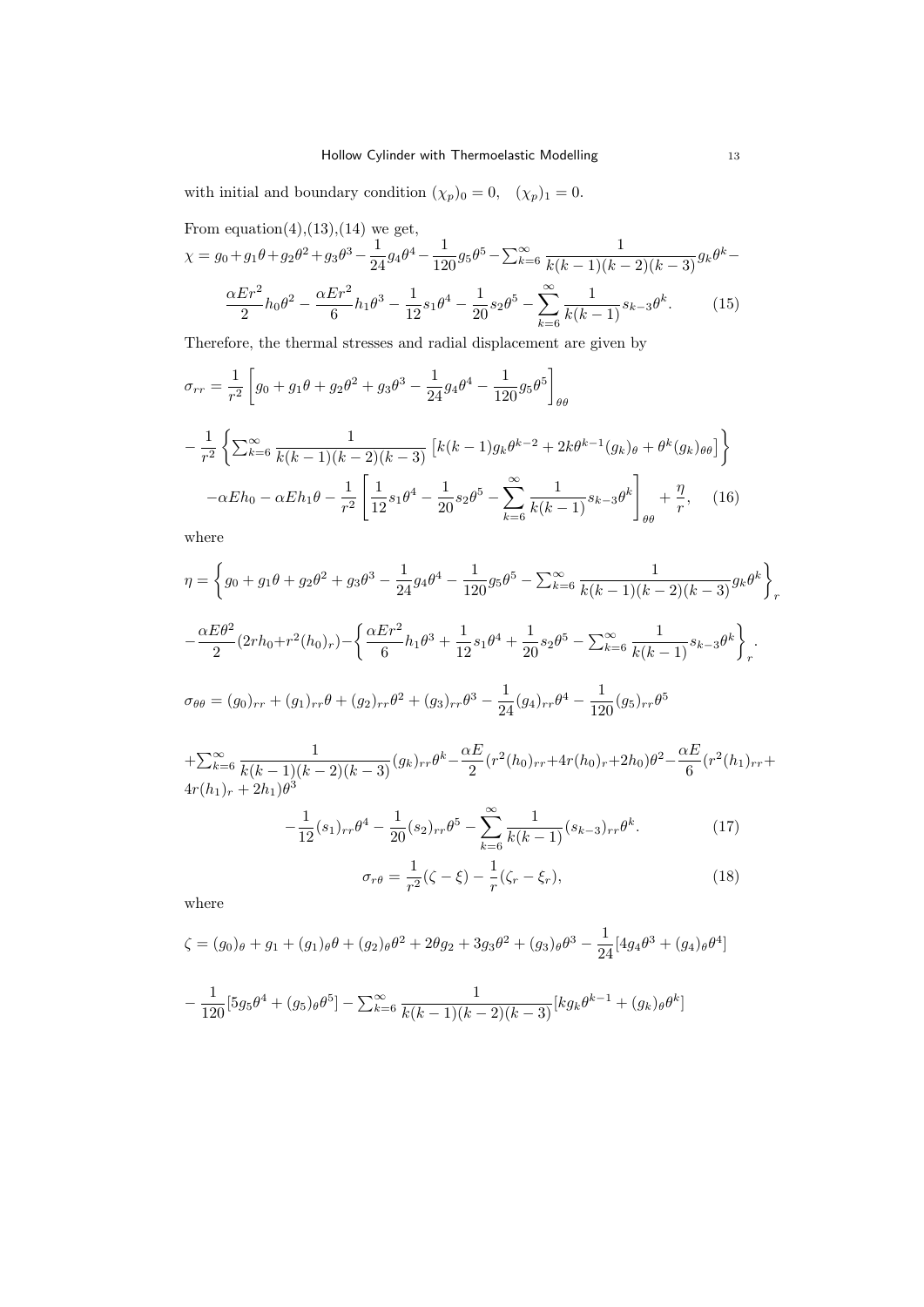with initial and boundary condition  $(\chi_p)_0 = 0$ ,  $(\chi_p)_1 = 0$ .

From equation(4),(13),(14) we get,

$$
\chi = g_0 + g_1 \theta + g_2 \theta^2 + g_3 \theta^3 - \frac{1}{24} g_4 \theta^4 - \frac{1}{120} g_5 \theta^5 - \sum_{k=6}^{\infty} \frac{1}{k(k-1)(k-2)(k-3)} g_k \theta^k - \frac{\alpha E r^2}{2} h_0 \theta^2 - \frac{\alpha E r^2}{6} h_1 \theta^3 - \frac{1}{12} s_1 \theta^4 - \frac{1}{20} s_2 \theta^5 - \sum_{k=6}^{\infty} \frac{1}{k(k-1)} s_{k-3} \theta^k.
$$
 (15)

Therefore, the thermal stresses and radial displacement are given by

$$
\sigma_{rr} = \frac{1}{r^2} \left[ g_0 + g_1 \theta + g_2 \theta^2 + g_3 \theta^3 - \frac{1}{24} g_4 \theta^4 - \frac{1}{120} g_5 \theta^5 \right]_{\theta \theta}
$$

$$
- \frac{1}{r^2} \left\{ \sum_{k=6}^{\infty} \frac{1}{k(k-1)(k-2)(k-3)} \left[ k(k-1) g_k \theta^{k-2} + 2k \theta^{k-1} (g_k)_{\theta} + \theta^k (g_k)_{\theta \theta} \right] \right\}
$$

$$
- \alpha E h_0 - \alpha E h_1 \theta - \frac{1}{r^2} \left[ \frac{1}{12} s_1 \theta^4 - \frac{1}{20} s_2 \theta^5 - \sum_{k=6}^{\infty} \frac{1}{k(k-1)} s_{k-3} \theta^k \right]_{\theta \theta} + \frac{\eta}{r}, \quad (16)
$$

where

$$
\eta = \left\{ g_0 + g_1 \theta + g_2 \theta^2 + g_3 \theta^3 - \frac{1}{24} g_4 \theta^4 - \frac{1}{120} g_5 \theta^5 - \sum_{k=6}^{\infty} \frac{1}{k(k-1)(k-2)(k-3)} g_k \theta^k \right\}_r
$$
  

$$
- \frac{\alpha E \theta^2}{2} (2rh_0 + r^2(h_0)_r) - \left\{ \frac{\alpha E r^2}{6} h_1 \theta^3 + \frac{1}{12} s_1 \theta^4 + \frac{1}{20} s_2 \theta^5 - \sum_{k=6}^{\infty} \frac{1}{k(k-1)} s_{k-3} \theta^k \right\}_r.
$$
  

$$
\sigma_{\theta\theta} = (g_0)_{rr} + (g_1)_{rr} \theta + (g_2)_{rr} \theta^2 + (g_3)_{rr} \theta^3 - \frac{1}{24} (g_4)_{rr} \theta^4 - \frac{1}{120} (g_5)_{rr} \theta^5
$$

 $+\sum_{k=6}^{\infty}$  $\frac{1}{k(k-1)(k-2)(k-3)}(g_k)_{rr}\theta^k-\frac{\alpha E}{2}$  $\frac{\alpha E}{2} (r^2(h_0)_{rr} + 4r(h_0)_r + 2h_0)\theta^2 - \frac{\alpha E}{6}$  $\frac{dE}{6}(r^2(h_1)_{rr}+$  $4r(h_1)_r + 2h_1)\theta^3$ 

$$
-\frac{1}{12}(s_1)_{rr}\theta^4 - \frac{1}{20}(s_2)_{rr}\theta^5 - \sum_{k=6}^{\infty} \frac{1}{k(k-1)}(s_{k-3})_{rr}\theta^k.
$$
 (17)

$$
\sigma_{r\theta} = \frac{1}{r^2} (\zeta - \xi) - \frac{1}{r} (\zeta_r - \xi_r),
$$
\n(18)

where

$$
\zeta = (g_0)_{\theta} + g_1 + (g_1)_{\theta} \theta + (g_2)_{\theta} \theta^2 + 2\theta g_2 + 3g_3 \theta^2 + (g_3)_{\theta} \theta^3 - \frac{1}{24} [4g_4 \theta^3 + (g_4)_{\theta} \theta^4]
$$

$$
-\frac{1}{120} [5g_5 \theta^4 + (g_5)_{\theta} \theta^5] - \sum_{k=6}^{\infty} \frac{1}{k(k-1)(k-2)(k-3)} [kg_k \theta^{k-1} + (g_k)_{\theta} \theta^k]
$$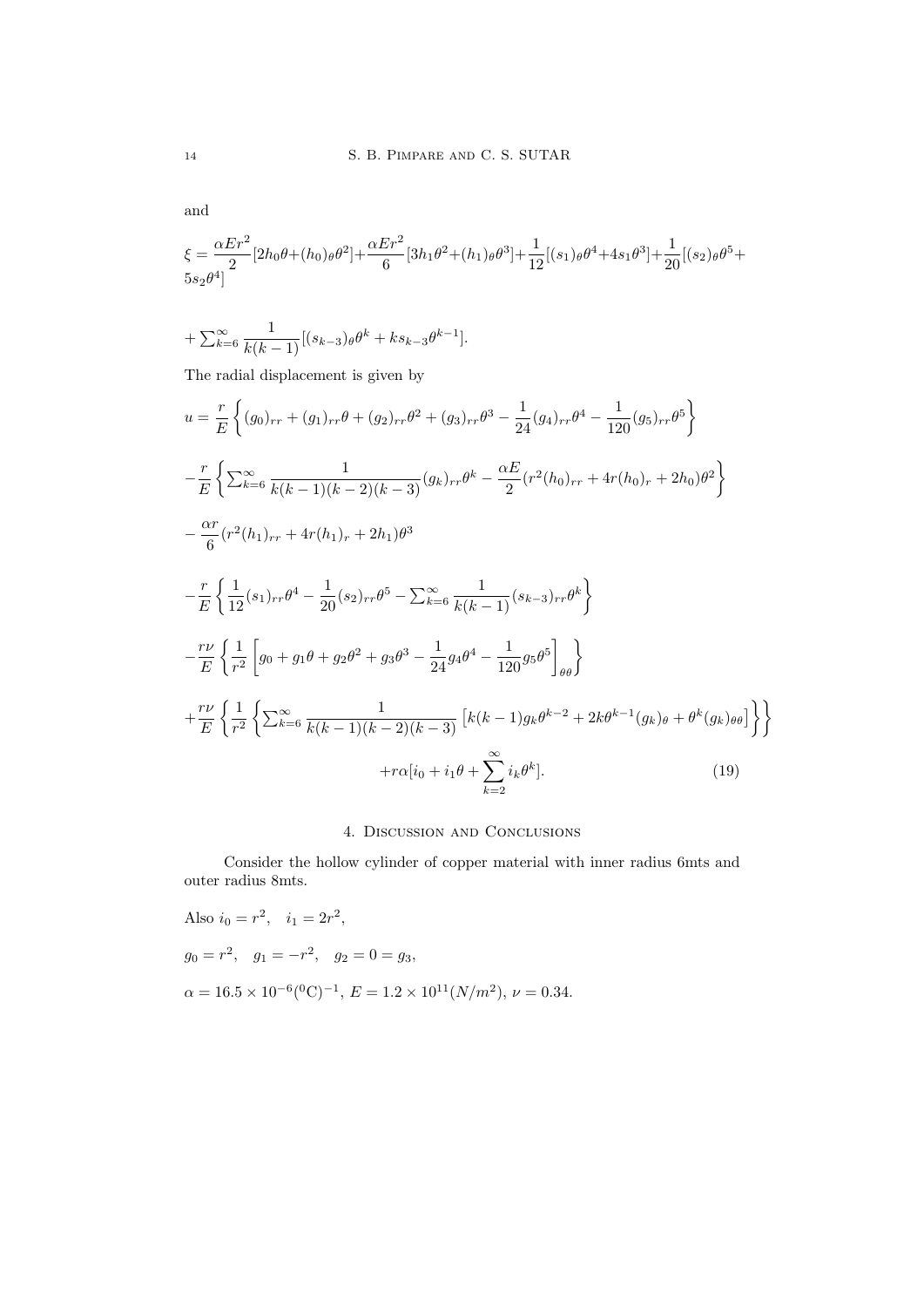$$
\xi=\frac{\alpha Er^{2}}{2}[2h_{0}\theta+(h_{0})_{\theta}\theta^{2}]+\frac{\alpha Er^{2}}{6}[3h_{1}\theta^{2}+(h_{1})_{\theta}\theta^{3}]+\frac{1}{12}[(s_{1})_{\theta}\theta^{4}+4s_{1}\theta^{3}]+\frac{1}{20}[(s_{2})_{\theta}\theta^{5}+5s_{2}\theta^{4}]
$$

$$
+\sum_{k=6}^{\infty} \frac{1}{k(k-1)}[(s_{k-3})_{\theta}\theta^{k} + ks_{k-3}\theta^{k-1}].
$$

The radial displacement is given by

$$
u = \frac{r}{E} \left\{ (g_0)_{rr} + (g_1)_{rr} \theta + (g_2)_{rr} \theta^2 + (g_3)_{rr} \theta^3 - \frac{1}{24} (g_4)_{rr} \theta^4 - \frac{1}{120} (g_5)_{rr} \theta^5 \right\}
$$
  
\n
$$
- \frac{r}{E} \left\{ \sum_{k=6}^{\infty} \frac{1}{k(k-1)(k-2)(k-3)} (g_k)_{rr} \theta^k - \frac{\alpha E}{2} (r^2 (h_0)_{rr} + 4r (h_0)_r + 2h_0) \theta^2 \right\}
$$
  
\n
$$
- \frac{\alpha r}{6} (r^2 (h_1)_{rr} + 4r (h_1)_r + 2h_1) \theta^3
$$
  
\n
$$
- \frac{r}{E} \left\{ \frac{1}{12} (s_1)_{rr} \theta^4 - \frac{1}{20} (s_2)_{rr} \theta^5 - \sum_{k=6}^{\infty} \frac{1}{k(k-1)} (s_{k-3})_{rr} \theta^k \right\}
$$
  
\n
$$
- \frac{r\nu}{E} \left\{ \frac{1}{r^2} \left[ g_0 + g_1 \theta + g_2 \theta^2 + g_3 \theta^3 - \frac{1}{24} g_4 \theta^4 - \frac{1}{120} g_5 \theta^5 \right]_{\theta \theta} \right\}
$$
  
\n
$$
+ \frac{r\nu}{E} \left\{ \frac{1}{r^2} \left\{ \sum_{k=6}^{\infty} \frac{1}{k(k-1)(k-2)(k-3)} \left[ k(k-1) g_k \theta^{k-2} + 2k \theta^{k-1} (g_k)_{\theta} + \theta^k (g_k)_{\theta \theta} \right] \right\} \right\}
$$
  
\n
$$
+ r\alpha [i_0 + i_1 \theta + \sum_{k=2}^{\infty} i_k \theta^k].
$$
 (19)

## 4. Discussion and Conclusions

Consider the hollow cylinder of copper material with inner radius 6mts and outer radius 8mts.

Also 
$$
i_0 = r^2
$$
,  $i_1 = 2r^2$ ,  
\n $g_0 = r^2$ ,  $g_1 = -r^2$ ,  $g_2 = 0 = g_3$ ,  
\n $\alpha = 16.5 \times 10^{-6} (^0C)^{-1}$ ,  $E = 1.2 \times 10^{11} (N/m^2)$ ,  $\nu = 0.34$ .

and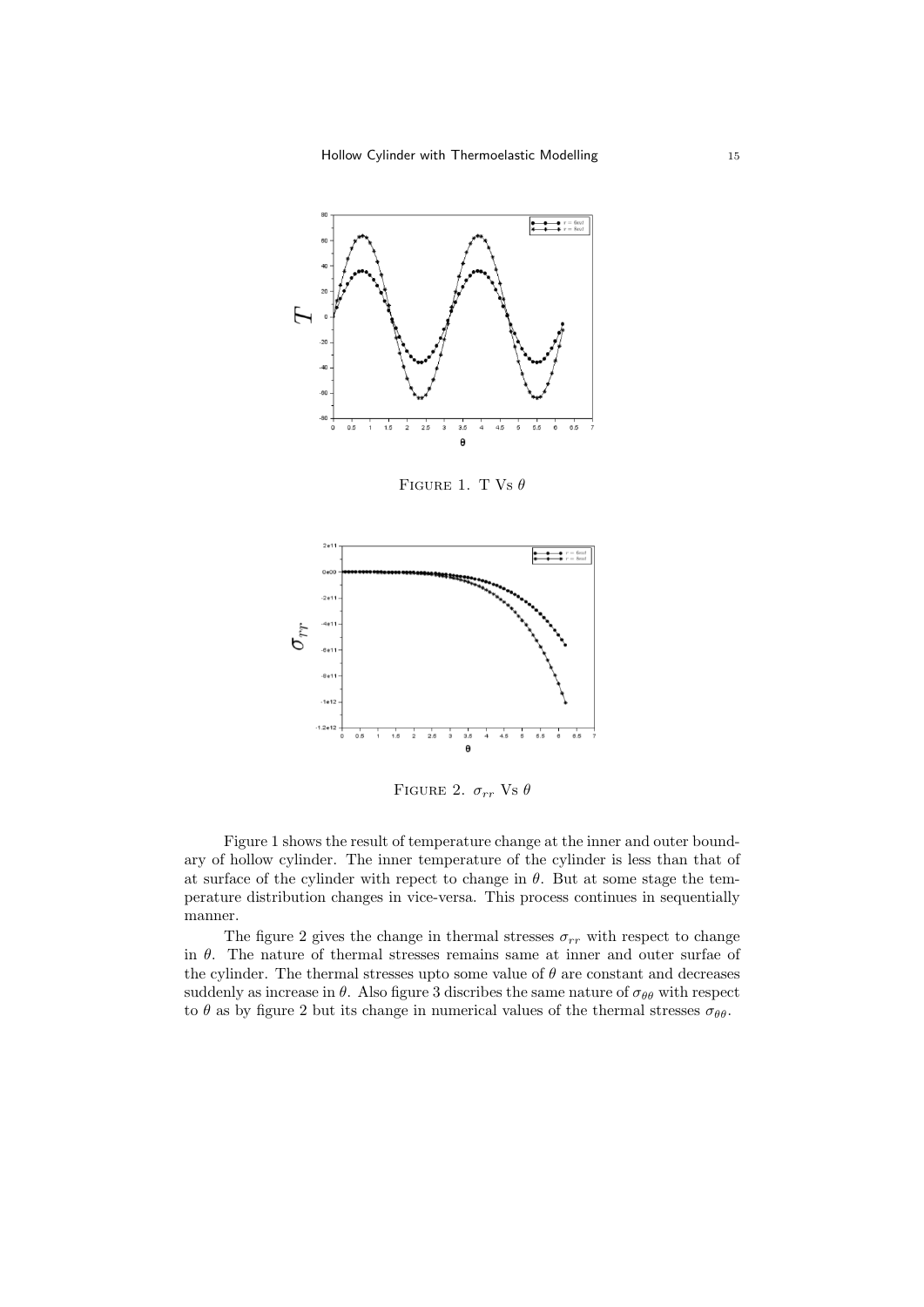Hollow Cylinder with Thermoelastic Modelling 15



FIGURE 1. T Vs  $\theta$ 



FIGURE 2.  $\sigma_{rr}$  Vs  $\theta$ 

Figure 1 shows the result of temperature change at the inner and outer boundary of hollow cylinder. The inner temperature of the cylinder is less than that of at surface of the cylinder with repect to change in  $\theta$ . But at some stage the temperature distribution changes in vice-versa. This process continues in sequentially manner.

The figure 2 gives the change in thermal stresses  $\sigma_{rr}$  with respect to change in  $\theta$ . The nature of thermal stresses remains same at inner and outer surfae of the cylinder. The thermal stresses upto some value of  $\theta$  are constant and decreases suddenly as increase in  $\theta$ . Also figure 3 discribes the same nature of  $\sigma_{\theta\theta}$  with respect to  $\theta$  as by figure 2 but its change in numerical values of the thermal stresses  $\sigma_{\theta\theta}$ .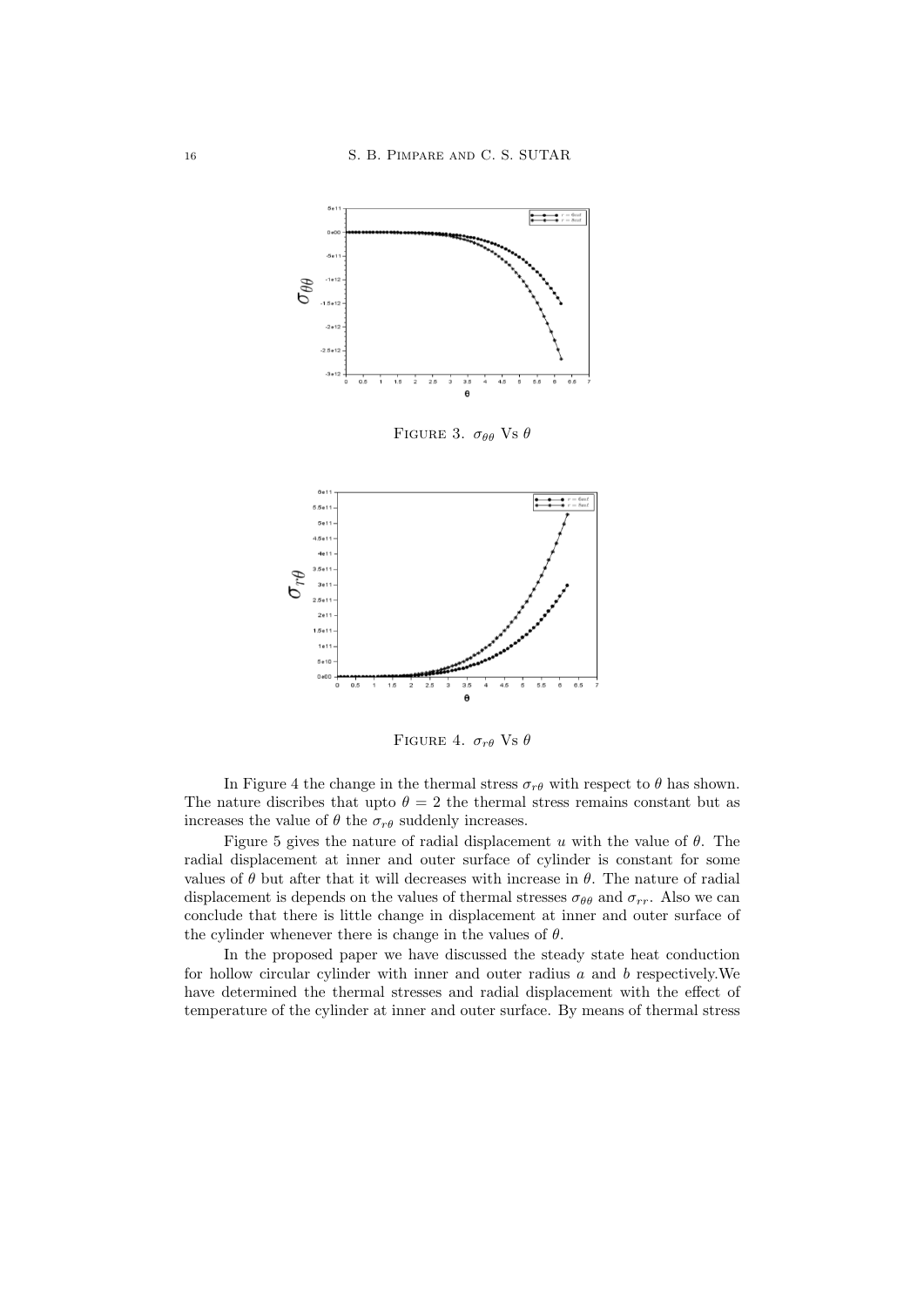

FIGURE 4.  $\sigma_{r\theta}$  Vs  $\theta$ 

In Figure 4 the change in the thermal stress  $\sigma_{r\theta}$  with respect to  $\theta$  has shown. The nature discribes that upto  $\theta = 2$  the thermal stress remains constant but as increases the value of  $\theta$  the  $\sigma_{r\theta}$  suddenly increases.

Figure 5 gives the nature of radial displacement u with the value of  $\theta$ . The radial displacement at inner and outer surface of cylinder is constant for some values of  $\theta$  but after that it will decreases with increase in  $\theta$ . The nature of radial displacement is depends on the values of thermal stresses  $\sigma_{\theta\theta}$  and  $\sigma_{rr}$ . Also we can conclude that there is little change in displacement at inner and outer surface of the cylinder whenever there is change in the values of  $\theta$ .

In the proposed paper we have discussed the steady state heat conduction for hollow circular cylinder with inner and outer radius  $a$  and  $b$  respectively. We have determined the thermal stresses and radial displacement with the effect of temperature of the cylinder at inner and outer surface. By means of thermal stress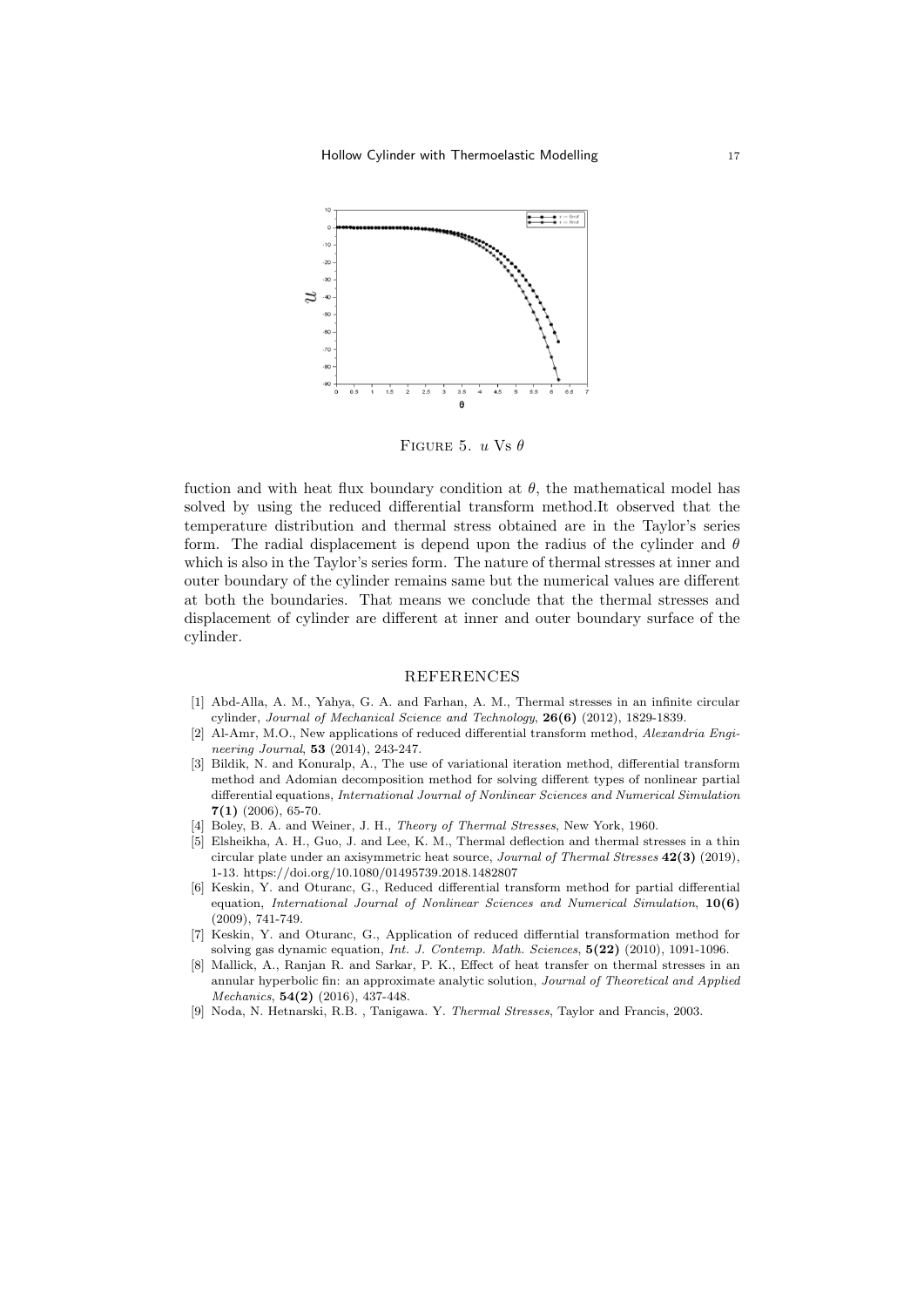

FIGURE 5.  $u$  Vs  $\theta$ 

fuction and with heat flux boundary condition at  $\theta$ , the mathematical model has solved by using the reduced differential transform method.It observed that the temperature distribution and thermal stress obtained are in the Taylor's series form. The radial displacement is depend upon the radius of the cylinder and  $\theta$ which is also in the Taylor's series form. The nature of thermal stresses at inner and outer boundary of the cylinder remains same but the numerical values are different at both the boundaries. That means we conclude that the thermal stresses and displacement of cylinder are different at inner and outer boundary surface of the cylinder.

#### REFERENCES

- [1] Abd-Alla, A. M., Yahya, G. A. and Farhan, A. M., Thermal stresses in an infinite circular cylinder, Journal of Mechanical Science and Technology, 26(6) (2012), 1829-1839.
- [2] Al-Amr, M.O., New applications of reduced differential transform method, Alexandria Engineering Journal, **53** (2014), 243-247.
- [3] Bildik, N. and Konuralp, A., The use of variational iteration method, differential transform method and Adomian decomposition method for solving different types of nonlinear partial differential equations, International Journal of Nonlinear Sciences and Numerical Simulation  $7(1)$  (2006), 65-70.
- [4] Boley, B. A. and Weiner, J. H., Theory of Thermal Stresses, New York, 1960.
- [5] Elsheikha, A. H., Guo, J. and Lee, K. M., Thermal deflection and thermal stresses in a thin circular plate under an axisymmetric heat source, Journal of Thermal Stresses 42(3) (2019), 1-13. https://doi.org/10.1080/01495739.2018.1482807
- [6] Keskin, Y. and Oturanc, G., Reduced differential transform method for partial differential equation, International Journal of Nonlinear Sciences and Numerical Simulation, 10(6) (2009), 741-749.
- [7] Keskin, Y. and Oturanc, G., Application of reduced differntial transformation method for solving gas dynamic equation, Int. J. Contemp. Math. Sciences, 5(22) (2010), 1091-1096.
- [8] Mallick, A., Ranjan R. and Sarkar, P. K., Effect of heat transfer on thermal stresses in an annular hyperbolic fin: an approximate analytic solution, Journal of Theoretical and Applied Mechanics, 54(2) (2016), 437-448.
- [9] Noda, N. Hetnarski, R.B. , Tanigawa. Y. Thermal Stresses, Taylor and Francis, 2003.